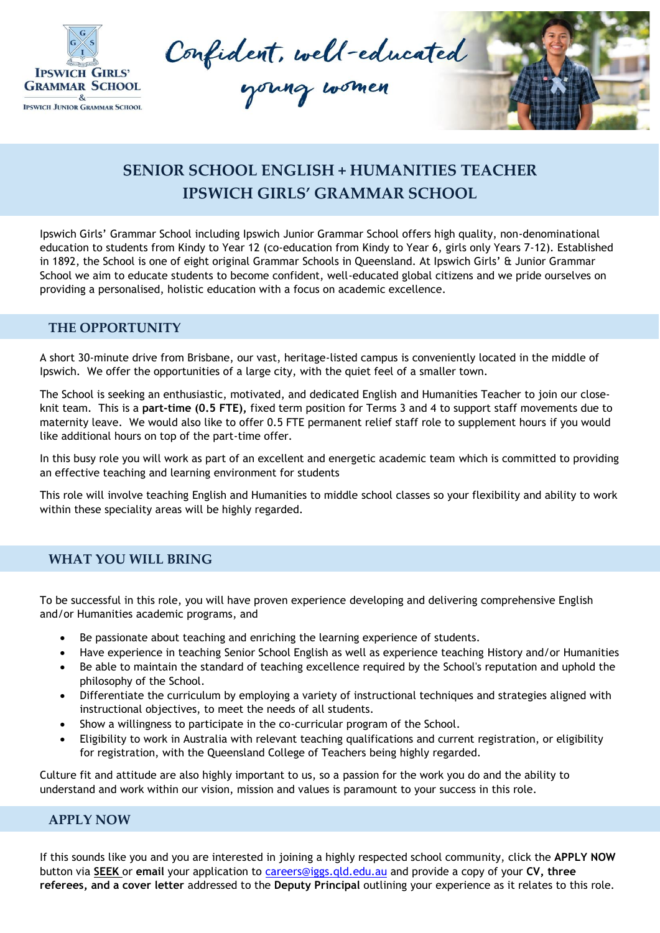

Confident, well-educated



## **SENIOR SCHOOL ENGLISH + HUMANITIES TEACHER IPSWICH GIRLS' GRAMMAR SCHOOL**

Ipswich Girls' Grammar School including Ipswich Junior Grammar School offers high quality, non-denominational education to students from Kindy to Year 12 (co-education from Kindy to Year 6, girls only Years 7-12). Established in 1892, the School is one of eight original Grammar Schools in Queensland. At Ipswich Girls' & Junior Grammar School we aim to educate students to become confident, well-educated global citizens and we pride ourselves on providing a personalised, holistic education with a focus on academic excellence.

## **THE OPPORTUNITY**

A short 30-minute drive from Brisbane, our vast, heritage-listed campus is conveniently located in the middle of Ipswich. We offer the opportunities of a large city, with the quiet feel of a smaller town.

The School is seeking an enthusiastic, motivated, and dedicated English and Humanities Teacher to join our closeknit team. This is a **part-time (0.5 FTE),** fixed term position for Terms 3 and 4 to support staff movements due to maternity leave. We would also like to offer 0.5 FTE permanent relief staff role to supplement hours if you would like additional hours on top of the part-time offer.

In this busy role you will work as part of an excellent and energetic academic team which is committed to providing an effective teaching and learning environment for students

This role will involve teaching English and Humanities to middle school classes so your flexibility and ability to work within these speciality areas will be highly regarded.

## **WHAT YOU WILL BRING**

To be successful in this role, you will have proven experience developing and delivering comprehensive English and/or Humanities academic programs, and

- Be passionate about teaching and enriching the learning experience of students.
- Have experience in teaching Senior School English as well as experience teaching History and/or Humanities
- Be able to maintain the standard of teaching excellence required by the School's reputation and uphold the philosophy of the School.
- Differentiate the curriculum by employing a variety of instructional techniques and strategies aligned with instructional objectives, to meet the needs of all students.
- Show a willingness to participate in the co-curricular program of the School.
- Eligibility to work in Australia with relevant teaching qualifications and current registration, or eligibility for registration, with the Queensland College of Teachers being highly regarded.

Culture fit and attitude are also highly important to us, so a passion for the work you do and the ability to understand and work within our vision, mission and values is paramount to your success in this role.

## **APPLY NOW**

If this sounds like you and you are interested in joining a highly respected school community, click the **APPLY NOW** button via **SEEK** or **email** your application to [careers@iggs.qld.edu.au](mailto:careers@iggs.qld.edu.au) and provide a copy of your **CV, three referees, and a cover letter** addressed to the **Deputy Principal** outlining your experience as it relates to this role.